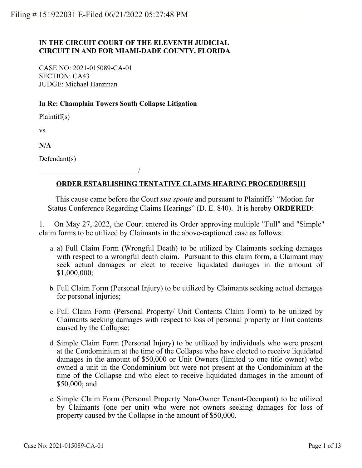# **IN THE CIRCUIT COURT OF THE ELEVENTH JUDICIAL CIRCUIT IN AND FOR MIAMI-DADE COUNTY, FLORIDA**

CASE NO: 2021-015089-CA-01 SECTION: CA43 JUDGE: Michael Hanzman

\_\_\_\_\_\_\_\_\_\_\_\_\_\_\_\_\_\_\_\_\_\_\_\_\_\_\_\_/

## **In Re: Champlain Towers South Collapse Litigation**

Plaintiff(s)

vs.

**N/A**

Defendant(s)

# **ORDER ESTABLISHING TENTATIVE CLAIMS HEARING PROCEDURES[1]**

 This cause came before the Court *sua sponte* and pursuant to Plaintiffs' "Motion for Status Conference Regarding Claims Hearings" (D. E. 840). It is hereby **ORDERED**:

1. On May 27, 2022, the Court entered its Order approving multiple "Full" and "Simple" claim forms to be utilized by Claimants in the above-captioned case as follows:

- a) Full Claim Form (Wrongful Death) to be utilized by Claimants seeking damages a. with respect to a wrongful death claim. Pursuant to this claim form, a Claimant may seek actual damages or elect to receive liquidated damages in the amount of \$1,000,000;
- Full Claim Form (Personal Injury) to be utilized by Claimants seeking actual damages b. for personal injuries;
- c. Full Claim Form (Personal Property/ Unit Contents Claim Form) to be utilized by Claimants seeking damages with respect to loss of personal property or Unit contents caused by the Collapse;
- d. Simple Claim Form (Personal Injury) to be utilized by individuals who were present at the Condominium at the time of the Collapse who have elected to receive liquidated damages in the amount of \$50,000 or Unit Owners (limited to one title owner) who owned a unit in the Condominium but were not present at the Condominium at the time of the Collapse and who elect to receive liquidated damages in the amount of \$50,000; and
- e. Simple Claim Form (Personal Property Non-Owner Tenant-Occupant) to be utilized by Claimants (one per unit) who were not owners seeking damages for loss of property caused by the Collapse in the amount of \$50,000.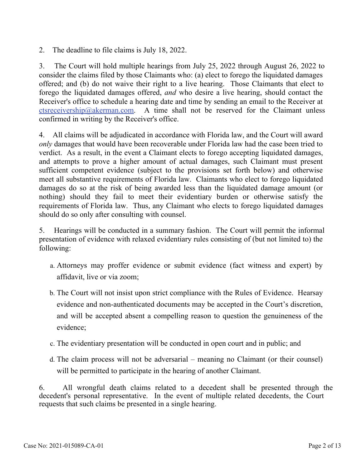2. The deadline to file claims is July 18, 2022.

3. The Court will hold multiple hearings from July 25, 2022 through August 26, 2022 to consider the claims filed by those Claimants who: (a) elect to forego the liquidated damages offered; and (b) do not waive their right to a live hearing. Those Claimants that elect to forego the liquidated damages offered, *and* who desire a live hearing, should contact the Receiver's office to schedule a hearing date and time by sending an email to the Receiver at [ctsreceivership@akerman.com](mailto:ctsreceivership@akerman.com). A time shall not be reserved for the Claimant unless confirmed in writing by the Receiver's office.

4. All claims will be adjudicated in accordance with Florida law, and the Court will award *only* damages that would have been recoverable under Florida law had the case been tried to verdict. As a result, in the event a Claimant elects to forego accepting liquidated damages, and attempts to prove a higher amount of actual damages, such Claimant must present sufficient competent evidence (subject to the provisions set forth below) and otherwise meet all substantive requirements of Florida law. Claimants who elect to forego liquidated damages do so at the risk of being awarded less than the liquidated damage amount (or nothing) should they fail to meet their evidentiary burden or otherwise satisfy the requirements of Florida law. Thus, any Claimant who elects to forego liquidated damages should do so only after consulting with counsel.

5. Hearings will be conducted in a summary fashion. The Court will permit the informal presentation of evidence with relaxed evidentiary rules consisting of (but not limited to) the following:

- Attorneys may proffer evidence or submit evidence (fact witness and expert) by a. affidavit, live or via zoom;
- b. The Court will not insist upon strict compliance with the Rules of Evidence. Hearsay evidence and non-authenticated documents may be accepted in the Court's discretion, and will be accepted absent a compelling reason to question the genuineness of the evidence;
- c. The evidentiary presentation will be conducted in open court and in public; and
- The claim process will not be adversarial meaning no Claimant (or their counsel) d. will be permitted to participate in the hearing of another Claimant.

6. All wrongful death claims related to a decedent shall be presented through the decedent's personal representative. In the event of multiple related decedents, the Court requests that such claims be presented in a single hearing.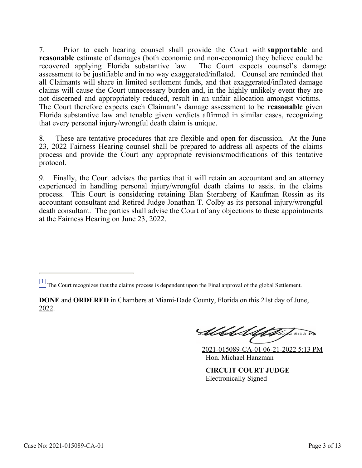7. Prior to each hearing counsel shall provide the Court with **supportable** and **reasonable** estimate of damages (both economic and non-economic) they believe could be recovered applying Florida substantive law. The Court expects counsel's damage assessment to be justifiable and in no way exaggerated/inflated. Counsel are reminded that all Claimants will share in limited settlement funds, and that exaggerated/inflated damage claims will cause the Court unnecessary burden and, in the highly unlikely event they are not discerned and appropriately reduced, result in an unfair allocation amongst victims. The Court therefore expects each Claimant's damage assessment to be **reasonable** given Florida substantive law and tenable given verdicts affirmed in similar cases, recognizing that every personal injury/wrongful death claim is unique.

8. These are tentative procedures that are flexible and open for discussion. At the June 23, 2022 Fairness Hearing counsel shall be prepared to address all aspects of the claims process and provide the Court any appropriate revisions/modifications of this tentative protocol.

9. Finally, the Court advises the parties that it will retain an accountant and an attorney experienced in handling personal injury/wrongful death claims to assist in the claims process. This Court is considering retaining Elan Sternberg of Kaufman Rossin as its accountant consultant and Retired Judge Jonathan T. Colby as its personal injury/wrongful death consultant. The parties shall advise the Court of any objections to these appointments at the Fairness Hearing on June 23, 2022.

Abbel Uth  $25:13$  PD

2021-015089-CA-01 06-21-2022 5:13 PM Hon. Michael Hanzman

**CIRCUIT COURT JUDGE** Electronically Signed

 $\frac{[1]}{[1]}$  The Court recognizes that the claims process is dependent upon the Final approval of the global Settlement.

**DONE** and **ORDERED** in Chambers at Miami-Dade County, Florida on this 21st day of June, 2022.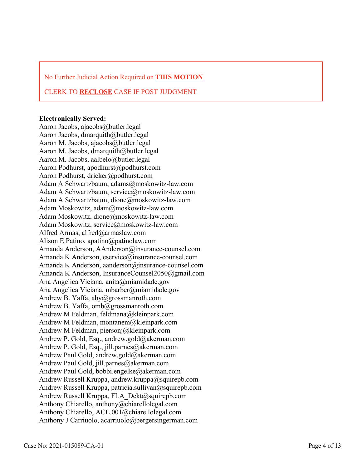No Further Judicial Action Required on **THIS MOTION**

### CLERK TO **RECLOSE** CASE IF POST JUDGMENT

#### **Electronically Served:**

Aaron Jacobs, ajacobs@butler.legal Aaron Jacobs, dmarquith@butler.legal Aaron M. Jacobs, ajacobs@butler.legal Aaron M. Jacobs, dmarquith@butler.legal Aaron M. Jacobs, aalbelo@butler.legal Aaron Podhurst, apodhurst@podhurst.com Aaron Podhurst, dricker@podhurst.com Adam A Schwartzbaum, adams@moskowitz-law.com Adam A Schwartzbaum, service@moskowitz-law.com Adam A Schwartzbaum, dione@moskowitz-law.com Adam Moskowitz, adam@moskowitz-law.com Adam Moskowitz, dione@moskowitz-law.com Adam Moskowitz, service@moskowitz-law.com Alfred Armas, alfred@armaslaw.com Alison E Patino, apatino@patinolaw.com Amanda Anderson, AAnderson@insurance-counsel.com Amanda K Anderson, eservice@insurance-counsel.com Amanda K Anderson, aanderson@insurance-counsel.com Amanda K Anderson, InsuranceCounsel2050@gmail.com Ana Angelica Viciana, anita@miamidade.gov Ana Angelica Viciana, mbarber@miamidade.gov Andrew B. Yaffa, aby@grossmanroth.com Andrew B. Yaffa, omb@grossmanroth.com Andrew M Feldman, feldmana@kleinpark.com Andrew M Feldman, montanem@kleinpark.com Andrew M Feldman, piersonj@kleinpark.com Andrew P. Gold, Esq., andrew.gold@akerman.com Andrew P. Gold, Esq., jill.parnes@akerman.com Andrew Paul Gold, andrew.gold@akerman.com Andrew Paul Gold, jill.parnes@akerman.com Andrew Paul Gold, bobbi.engelke@akerman.com Andrew Russell Kruppa, andrew.kruppa@squirepb.com Andrew Russell Kruppa, patricia.sullivan@squirepb.com Andrew Russell Kruppa, FLA\_Dckt@squirepb.com Anthony Chiarello, anthony@chiarellolegal.com Anthony Chiarello, ACL.001@chiarellolegal.com Anthony J Carriuolo, acarriuolo@bergersingerman.com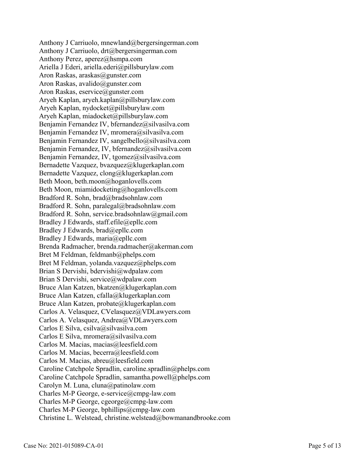Anthony J Carriuolo, mnewland@bergersingerman.com Anthony J Carriuolo, drt@bergersingerman.com Anthony Perez, aperez@hsmpa.com Ariella J Ederi, ariella.ederi@pillsburylaw.com Aron Raskas, araskas@gunster.com Aron Raskas, avalido@gunster.com Aron Raskas, eservice@gunster.com Aryeh Kaplan, aryeh.kaplan@pillsburylaw.com Aryeh Kaplan, nydocket@pillsburylaw.com Aryeh Kaplan, miadocket@pillsburylaw.com Benjamin Fernandez IV, bfernandez@silvasilva.com Benjamin Fernandez IV, mromera@silvasilva.com Benjamin Fernandez IV, sangelbello@silvasilva.com Benjamin Fernandez, IV, bfernandez@silvasilva.com Benjamin Fernandez, IV, tgomez@silvasilva.com Bernadette Vazquez, bvazquez@klugerkaplan.com Bernadette Vazquez, clong@klugerkaplan.com Beth Moon, beth.moon@hoganlovells.com Beth Moon, miamidocketing@hoganlovells.com Bradford R. Sohn, brad@bradsohnlaw.com Bradford R. Sohn, paralegal@bradsohnlaw.com Bradford R. Sohn, service.bradsohnlaw@gmail.com Bradley J Edwards, staff.efile@epllc.com Bradley J Edwards, brad@epllc.com Bradley J Edwards, maria@epllc.com Brenda Radmacher, brenda.radmacher@akerman.com Bret M Feldman, feldmanb@phelps.com Bret M Feldman, yolanda.vazquez@phelps.com Brian S Dervishi, bdervishi@wdpalaw.com Brian S Dervishi, service@wdpalaw.com Bruce Alan Katzen, bkatzen@klugerkaplan.com Bruce Alan Katzen, cfalla@klugerkaplan.com Bruce Alan Katzen, probate@klugerkaplan.com Carlos A. Velasquez, CVelasquez@VDLawyers.com Carlos A. Velasquez, Andrea@VDLawyers.com Carlos E Silva, csilva@silvasilva.com Carlos E Silva, mromera@silvasilva.com Carlos M. Macias, macias@leesfield.com Carlos M. Macias, becerra@leesfield.com Carlos M. Macias, abreu@leesfield.com Caroline Catchpole Spradlin, caroline.spradlin@phelps.com Caroline Catchpole Spradlin, samantha.powell@phelps.com Carolyn M. Luna, cluna@patinolaw.com Charles M-P George, e-service@cmpg-law.com Charles M-P George, cgeorge@cmpg-law.com Charles M-P George, bphillips@cmpg-law.com Christine L. Welstead, christine.welstead@bowmanandbrooke.com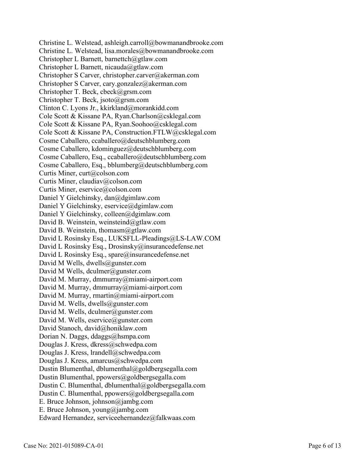Christine L. Welstead, ashleigh.carroll@bowmanandbrooke.com Christine L. Welstead, lisa.morales@bowmanandbrooke.com Christopher L Barnett, barnettch@gtlaw.com Christopher L Barnett, nicauda@gtlaw.com Christopher S Carver, christopher.carver@akerman.com Christopher S Carver, cary.gonzalez@akerman.com Christopher T. Beck, cbeck@grsm.com Christopher T. Beck, jsoto@grsm.com Clinton C. Lyons Jr., kkirkland@morankidd.com Cole Scott & Kissane PA, Ryan.Charlson@csklegal.com Cole Scott & Kissane PA, Ryan.Soohoo@csklegal.com Cole Scott & Kissane PA, Construction.FTLW@csklegal.com Cosme Caballero, ccaballero@deutschblumberg.com Cosme Caballero, kdominguez@deutschblumberg.com Cosme Caballero, Esq., ccaballero@deutschblumberg.com Cosme Caballero, Esq., bblumberg@deutschblumberg.com Curtis Miner, curt@colson.com Curtis Miner, claudiav@colson.com Curtis Miner, eservice@colson.com Daniel Y Gielchinsky, dan@dgimlaw.com Daniel Y Gielchinsky, eservice@dgimlaw.com Daniel Y Gielchinsky, colleen@dgimlaw.com David B. Weinstein, weinsteind@gtlaw.com David B. Weinstein, thomasm@gtlaw.com David L Rosinsky Esq., LUKSFLL-Pleadings@LS-LAW.COM David L Rosinsky Esq., Drosinsky@insurancedefense.net David L Rosinsky Esq., spare@insurancedefense.net David M Wells, dwells@gunster.com David M Wells, dculmer@gunster.com David M. Murray, dmmurray@miami-airport.com David M. Murray, dmmurray@miami-airport.com David M. Murray, rmartin@miami-airport.com David M. Wells, dwells@gunster.com David M. Wells, dculmer@gunster.com David M. Wells, eservice@gunster.com David Stanoch, david@honiklaw.com Dorian N. Daggs, ddaggs@hsmpa.com Douglas J. Kress, dkress@schwedpa.com Douglas J. Kress, lrandell@schwedpa.com Douglas J. Kress, amarcus@schwedpa.com Dustin Blumenthal, dblumenthal@goldbergsegalla.com Dustin Blumenthal, ppowers@goldbergsegalla.com Dustin C. Blumenthal, dblumenthal@goldbergsegalla.com Dustin C. Blumenthal, ppowers@goldbergsegalla.com E. Bruce Johnson, johnson@jambg.com E. Bruce Johnson, young@jambg.com Edward Hernandez, serviceehernandez@falkwaas.com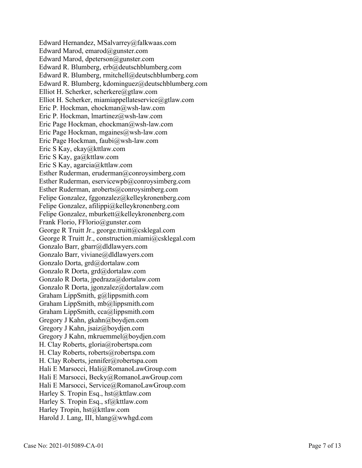Edward Hernandez, MSalvarrey@falkwaas.com Edward Marod, emarod@gunster.com Edward Marod, dpeterson@gunster.com Edward R. Blumberg, erb@deutschblumberg.com Edward R. Blumberg, rmitchell@deutschblumberg.com Edward R. Blumberg, kdominguez@deutschblumberg.com Elliot H. Scherker, scherkere@gtlaw.com Elliot H. Scherker, miamiappellateservice@gtlaw.com Eric P. Hockman, ehockman@wsh-law.com Eric P. Hockman, lmartinez@wsh-law.com Eric Page Hockman, ehockman@wsh-law.com Eric Page Hockman, mgaines@wsh-law.com Eric Page Hockman, faubi@wsh-law.com Eric S Kay, ekay@kttlaw.com Eric S Kay, ga@kttlaw.com Eric S Kay, agarcia@kttlaw.com Esther Ruderman, eruderman@conroysimberg.com Esther Ruderman, eservicewpb@conroysimberg.com Esther Ruderman, aroberts@conroysimberg.com Felipe Gonzalez, fggonzalez@kelleykronenberg.com Felipe Gonzalez, afilippi@kelleykronenberg.com Felipe Gonzalez, mburkett@kelleykronenberg.com Frank Florio, FFlorio@gunster.com George R Truitt Jr., george.truitt@csklegal.com George R Truitt Jr., construction.miami@csklegal.com Gonzalo Barr, gbarr@dldlawyers.com Gonzalo Barr, viviane@dldlawyers.com Gonzalo Dorta, grd@dortalaw.com Gonzalo R Dorta, grd@dortalaw.com Gonzalo R Dorta, jpedraza@dortalaw.com Gonzalo R Dorta, jgonzalez@dortalaw.com Graham LippSmith, g@lippsmith.com Graham LippSmith, mb@lippsmith.com Graham LippSmith, cca@lippsmith.com Gregory J Kahn, gkahn@boydjen.com Gregory J Kahn, jsaiz@boydjen.com Gregory J Kahn, mkruemmel@boydjen.com H. Clay Roberts, gloria@robertspa.com H. Clay Roberts, roberts@robertspa.com H. Clay Roberts, jennifer@robertspa.com Hali E Marsocci, Hali@RomanoLawGroup.com Hali E Marsocci, Becky@RomanoLawGroup.com Hali E Marsocci, Service@RomanoLawGroup.com Harley S. Tropin Esq., hst@kttlaw.com Harley S. Tropin Esq., sf@kttlaw.com Harley Tropin, hst@kttlaw.com Harold J. Lang, III, hlang@wwhgd.com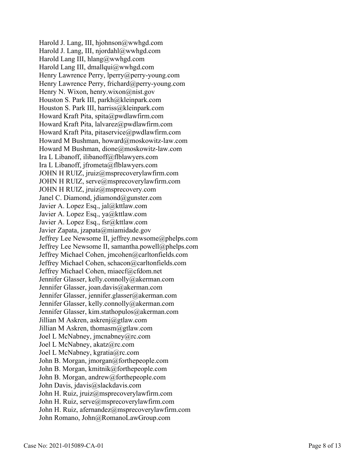Harold J. Lang, III, hjohnson@wwhgd.com Harold J. Lang, III, njordahl@wwhgd.com Harold Lang III, hlang@wwhgd.com Harold Lang III, dmallqui@wwhgd.com Henry Lawrence Perry, lperry@perry-young.com Henry Lawrence Perry, frichard@perry-young.com Henry N. Wixon, henry.wixon@nist.gov Houston S. Park III, parkh@kleinpark.com Houston S. Park III, harriss@kleinpark.com Howard Kraft Pita, spita@pwdlawfirm.com Howard Kraft Pita, lalvarez@pwdlawfirm.com Howard Kraft Pita, pitaservice@pwdlawfirm.com Howard M Bushman, howard@moskowitz-law.com Howard M Bushman, dione@moskowitz-law.com Ira L Libanoff, ilibanoff@flblawyers.com Ira L Libanoff, jfrometa@flblawyers.com JOHN H RUIZ, jruiz@msprecoverylawfirm.com JOHN H RUIZ, serve@msprecoverylawfirm.com JOHN H RUIZ, jruiz@msprecovery.com Janel C. Diamond, jdiamond@gunster.com Javier A. Lopez Esq., jal@kttlaw.com Javier A. Lopez Esq., ya@kttlaw.com Javier A. Lopez Esq., fsr@kttlaw.com Javier Zapata, jzapata@miamidade.gov Jeffrey Lee Newsome II, jeffrey.newsome@phelps.com Jeffrey Lee Newsome II, samantha.powell@phelps.com Jeffrey Michael Cohen, jmcohen@carltonfields.com Jeffrey Michael Cohen, schacon@carltonfields.com Jeffrey Michael Cohen, miaecf@cfdom.net Jennifer Glasser, kelly.connolly@akerman.com Jennifer Glasser, joan.davis@akerman.com Jennifer Glasser, jennifer.glasser@akerman.com Jennifer Glasser, kelly.connolly@akerman.com Jennifer Glasser, kim.stathopulos@akerman.com Jillian M Askren, askrenj@gtlaw.com Jillian M Askren, thomasm@gtlaw.com Joel L McNabney, jmcnabney@rc.com Joel L McNabney, akatz@rc.com Joel L McNabney, kgratia@rc.com John B. Morgan, jmorgan@forthepeople.com John B. Morgan, kmitnik@forthepeople.com John B. Morgan, andrew@forthepeople.com John Davis, jdavis@slackdavis.com John H. Ruiz, jruiz@msprecoverylawfirm.com John H. Ruiz, serve@msprecoverylawfirm.com John H. Ruiz, afernandez@msprecoverylawfirm.com John Romano, John@RomanoLawGroup.com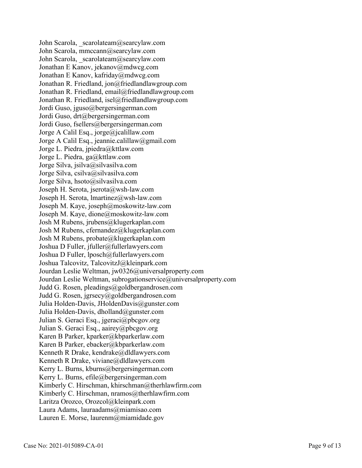John Scarola, scarolateam@searcylaw.com John Scarola, mmccann@searcylaw.com John Scarola, scarolateam@searcylaw.com Jonathan E Kanov, jekanov@mdwcg.com Jonathan E Kanov, kafriday@mdwcg.com Jonathan R. Friedland, jon@friedlandlawgroup.com Jonathan R. Friedland, email@friedlandlawgroup.com Jonathan R. Friedland, isel@friedlandlawgroup.com Jordi Guso, jguso@bergersingerman.com Jordi Guso, drt@bergersingerman.com Jordi Guso, fsellers@bergersingerman.com Jorge A Calil Esq., jorge@jcalillaw.com Jorge A Calil Esq., jeannie.calillaw@gmail.com Jorge L. Piedra, jpiedra@kttlaw.com Jorge L. Piedra, ga@kttlaw.com Jorge Silva, jsilva@silvasilva.com Jorge Silva, csilva@silvasilva.com Jorge Silva, hsoto@silvasilva.com Joseph H. Serota, jserota@wsh-law.com Joseph H. Serota, lmartinez@wsh-law.com Joseph M. Kaye, joseph@moskowitz-law.com Joseph M. Kaye, dione@moskowitz-law.com Josh M Rubens, jrubens@klugerkaplan.com Josh M Rubens, cfernandez@klugerkaplan.com Josh M Rubens, probate@klugerkaplan.com Joshua D Fuller, jfuller@fullerlawyers.com Joshua D Fuller, lposch@fullerlawyers.com Joshua Talcovitz, TalcovitzJ@kleinpark.com Jourdan Leslie Weltman, jw0326@universalproperty.com Jourdan Leslie Weltman, subrogationservice@universalproperty.com Judd G. Rosen, pleadings@goldbergandrosen.com Judd G. Rosen, jgrsecy@goldbergandrosen.com Julia Holden-Davis, JHoldenDavis@gunster.com Julia Holden-Davis, dholland@gunster.com Julian S. Geraci Esq., jgeraci@pbcgov.org Julian S. Geraci Esq., aairey@pbcgov.org Karen B Parker, kparker@kbparkerlaw.com Karen B Parker, ebacker@kbparkerlaw.com Kenneth R Drake, kendrake@dldlawyers.com Kenneth R Drake, viviane@dldlawyers.com Kerry L. Burns, kburns@bergersingerman.com Kerry L. Burns, efile@bergersingerman.com Kimberly C. Hirschman, khirschman@therhlawfirm.com Kimberly C. Hirschman, nramos@therhlawfirm.com Laritza Orozco, Orozcol@kleinpark.com Laura Adams, lauraadams@miamisao.com Lauren E. Morse, laurenm@miamidade.gov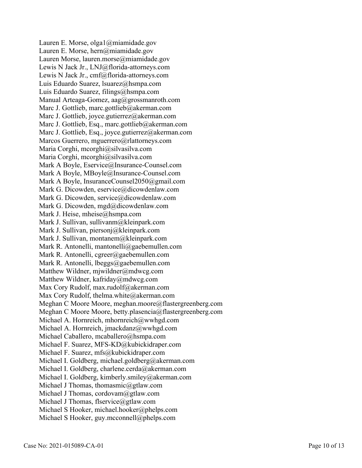Lauren E. Morse, olga1@miamidade.gov Lauren E. Morse, hern@miamidade.gov Lauren Morse, lauren.morse@miamidade.gov Lewis N Jack Jr., LNJ@florida-attorneys.com Lewis N Jack Jr., cmf@florida-attorneys.com Luis Eduardo Suarez, lsuarez@hsmpa.com Luis Eduardo Suarez, filings@hsmpa.com Manual Arteaga-Gomez, aag@grossmanroth.com Marc J. Gottlieb, marc.gottlieb@akerman.com Marc J. Gottlieb, joyce.gutierrez@akerman.com Marc J. Gottlieb, Esq., marc.gottlieb@akerman.com Marc J. Gottlieb, Esq., joyce.gutierrez@akerman.com Marcos Guerrero, mguerrero@rlattorneys.com Maria Corghi, mcorghi@silvasilva.com Maria Corghi, mcorghi@silvasilva.com Mark A Boyle, Eservice@Insurance-Counsel.com Mark A Boyle, MBoyle@Insurance-Counsel.com Mark A Boyle, InsuranceCounsel2050@gmail.com Mark G. Dicowden, eservice@dicowdenlaw.com Mark G. Dicowden, service@dicowdenlaw.com Mark G. Dicowden, mgd@dicowdenlaw.com Mark J. Heise, mheise@hsmpa.com Mark J. Sullivan, sullivanm@kleinpark.com Mark J. Sullivan, piersonj@kleinpark.com Mark J. Sullivan, montanem@kleinpark.com Mark R. Antonelli, mantonelli@gaebemullen.com Mark R. Antonelli, cgreer@gaebemullen.com Mark R. Antonelli, lbeggs@gaebemullen.com Matthew Wildner, mjwildner@mdwcg.com Matthew Wildner, kafriday@mdwcg.com Max Cory Rudolf, max.rudolf@akerman.com Max Cory Rudolf, thelma.white@akerman.com Meghan C Moore Moore, meghan.moore@flastergreenberg.com Meghan C Moore Moore, betty.plasencia@flastergreenberg.com Michael A. Hornreich, mhornreich@wwhgd.com Michael A. Hornreich, jmackdanz@wwhgd.com Michael Caballero, mcaballero@hsmpa.com Michael F. Suarez, MFS-KD@kubickidraper.com Michael F. Suarez, mfs@kubickidraper.com Michael I. Goldberg, michael.goldberg@akerman.com Michael I. Goldberg, charlene.cerda@akerman.com Michael I. Goldberg, kimberly.smiley@akerman.com Michael J Thomas, thomasmic@gtlaw.com Michael J Thomas, cordovam@gtlaw.com Michael J Thomas, flservice@gtlaw.com Michael S Hooker, michael.hooker@phelps.com Michael S Hooker, guy.mcconnell@phelps.com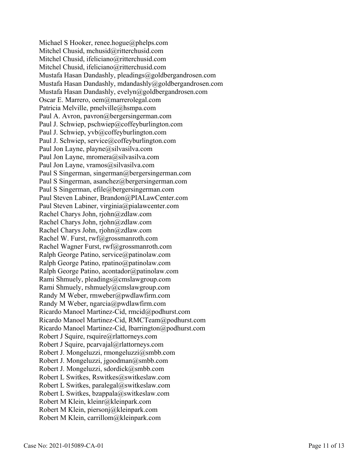Michael S Hooker, renee.hogue@phelps.com Mitchel Chusid, mchusid@ritterchusid.com Mitchel Chusid, ifeliciano@ritterchusid.com Mitchel Chusid, ifeliciano@ritterchusid.com Mustafa Hasan Dandashly, pleadings@goldbergandrosen.com Mustafa Hasan Dandashly, mdandashly@goldbergandrosen.com Mustafa Hasan Dandashly, evelyn@goldbergandrosen.com Oscar E. Marrero, oem@marrerolegal.com Patricia Melville, pmelville@hsmpa.com Paul A. Avron, pavron@bergersingerman.com Paul J. Schwiep, pschwiep@coffeyburlington.com Paul J. Schwiep, yvb@coffeyburlington.com Paul J. Schwiep, service@coffeyburlington.com Paul Jon Layne, playne@silvasilva.com Paul Jon Layne, mromera@silvasilva.com Paul Jon Layne, vramos@silvasilva.com Paul S Singerman, singerman@bergersingerman.com Paul S Singerman, asanchez@bergersingerman.com Paul S Singerman, efile@bergersingerman.com Paul Steven Labiner, Brandon@PIALawCenter.com Paul Steven Labiner, virginia@pialawcenter.com Rachel Charys John, rjohn@zdlaw.com Rachel Charys John, rjohn@zdlaw.com Rachel Charys John, rjohn@zdlaw.com Rachel W. Furst, rwf@grossmanroth.com Rachel Wagner Furst, rwf@grossmanroth.com Ralph George Patino, service@patinolaw.com Ralph George Patino, rpatino@patinolaw.com Ralph George Patino, acontador@patinolaw.com Rami Shmuely, pleadings@cmslawgroup.com Rami Shmuely, rshmuely@cmslawgroup.com Randy M Weber, rmweber@pwdlawfirm.com Randy M Weber, ngarcia@pwdlawfirm.com Ricardo Manoel Martinez-Cid, rmcid@podhurst.com Ricardo Manoel Martinez-Cid, RMCTeam@podhurst.com Ricardo Manoel Martinez-Cid, lbarrington@podhurst.com Robert J Squire, rsquire@rlattorneys.com Robert J Squire, pcarvajal@rlattorneys.com Robert J. Mongeluzzi, rmongeluzzi@smbb.com Robert J. Mongeluzzi, jgoodman@smbb.com Robert J. Mongeluzzi, sdordick@smbb.com Robert L Switkes, Rswitkes@switkeslaw.com Robert L Switkes, paralegal@switkeslaw.com Robert L Switkes, bzappala@switkeslaw.com Robert M Klein, kleinr@kleinpark.com Robert M Klein, piersonj@kleinpark.com Robert M Klein, carrillom@kleinpark.com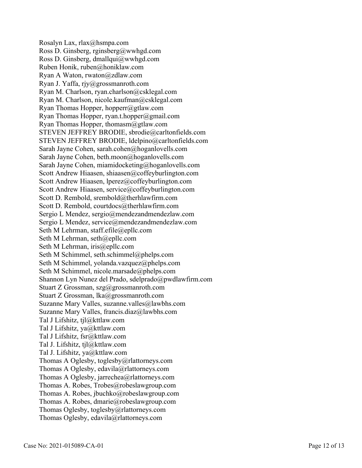Rosalyn Lax, rlax@hsmpa.com Ross D. Ginsberg, rginsberg@wwhgd.com Ross D. Ginsberg, dmallqui@wwhgd.com Ruben Honik, ruben@honiklaw.com Ryan A Waton, rwaton@zdlaw.com Ryan J. Yaffa, rjy@grossmanroth.com Ryan M. Charlson, ryan.charlson@csklegal.com Ryan M. Charlson, nicole.kaufman@csklegal.com Ryan Thomas Hopper, hopperr@gtlaw.com Ryan Thomas Hopper, ryan.t.hopper@gmail.com Ryan Thomas Hopper, thomasm@gtlaw.com STEVEN JEFFREY BRODIE, sbrodie@carltonfields.com STEVEN JEFFREY BRODIE, ldelpino@carltonfields.com Sarah Jayne Cohen, sarah.cohen@hoganlovells.com Sarah Jayne Cohen, beth.moon@hoganlovells.com Sarah Jayne Cohen, miamidocketing@hoganlovells.com Scott Andrew Hiaasen, shiaasen@coffeyburlington.com Scott Andrew Hiaasen, lperez@coffeyburlington.com Scott Andrew Hiaasen, service@coffeyburlington.com Scott D. Rembold, srembold@therhlawfirm.com Scott D. Rembold, courtdocs@therhlawfirm.com Sergio L Mendez, sergio@mendezandmendezlaw.com Sergio L Mendez, service@mendezandmendezlaw.com Seth M Lehrman, staff.efile@epllc.com Seth M Lehrman, seth@epllc.com Seth M Lehrman, iris@epllc.com Seth M Schimmel, seth.schimmel@phelps.com Seth M Schimmel, yolanda.vazquez@phelps.com Seth M Schimmel, nicole.marsade@phelps.com Shannon Lyn Nunez del Prado, sdelprado@pwdlawfirm.com Stuart Z Grossman, szg@grossmanroth.com Stuart Z Grossman, lka@grossmanroth.com Suzanne Mary Valles, suzanne.valles@lawbhs.com Suzanne Mary Valles, francis.diaz@lawbhs.com Tal J Lifshitz, tjl@kttlaw.com Tal J Lifshitz, ya@kttlaw.com Tal J Lifshitz, fsr@kttlaw.com Tal J. Lifshitz, tjl@kttlaw.com Tal J. Lifshitz, ya@kttlaw.com Thomas A Oglesby, toglesby@rlattorneys.com Thomas A Oglesby, edavila@rlattorneys.com Thomas A Oglesby, jarrechea@rlattorneys.com Thomas A. Robes, Trobes@robeslawgroup.com Thomas A. Robes, jbuchko@robeslawgroup.com Thomas A. Robes, dmarie@robeslawgroup.com Thomas Oglesby, toglesby@rlattorneys.com Thomas Oglesby, edavila@rlattorneys.com